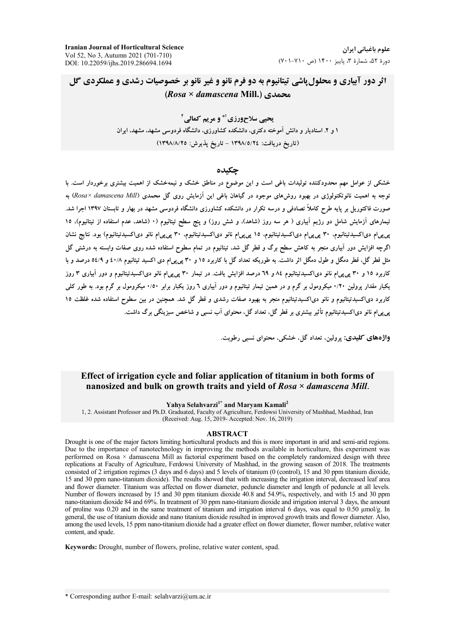**Iranian Journal of Horticultural Science** Vol 52, No 3, Autumn 2021 (701-710) DOI: 10.22059/ijhs.2019.286694.1694

# اثر دور آییاری و محلول یاشی تیتانیوم به دو فرم نانو و غیر نانو بر خصوصیات رشدی و عملکردی گل (Rosa × damascena Mill.) محمدی

يحيي سلاح ورزي ا\* و مريم كمالي آ ۱ و ۲ـ استادیار و دانش آموخته دکتری، دانشکده کشاورزی، دانشگاه فردوسی مشهد، مشهد، ایران (تاريخ دريافت: ١٣٩٨/٥/٢٤ - تاريخ پذيرش: ١٣٩٨/٨/٢٥)

#### حكىدە

خشکی از عوامل مهم محدودکننده تولیدات باغی است و این موضوع در مناطق خشک و نیمهخشک از اهمیت بیشتری برخوردار است. با توجه به اهمیت نانوتکنولوژی در بهبود روشهای موجود در گیاهان باغی این آزمایش روی گل محمدی (Rosa× damascena Mill) به صورت فاکتوریل بر پایه طرح کاملاً تصادفی و درسه تکرار در دانشکده کشاورزی دانشگاه فردوسی مشهد در بهار و تابستان ۱۳۹۷ اجرا شد. تیمارهای آزمایش شامل دو رژیم آبیاری ( هر سه روز (شاهد)، و شش روز) و ینج سطح تیتانیوم (۰ (شاهد، عدم استفاده از تیتانیوم)، ۱۵ پرپرام دیاکسیدتیتانیوم، ۳۰ پرپرام دیاکسیدتیتانیوم، ۱۵ پرپرام نانو دیاکسیدتیتانیوم، ۳۰ پرپرام نانو دیاکسیدتیتانیوم) بود. نتایج نشان اگرچه افزایش دور آبیاری منجر به کاهش سطح برگ و قطر گل شد، تیتانیوم در تمام سطوح استفاده شده روی صفات وابسته به درشتی گل مثل قطر گل، قطر دمگل و طول دمگل اثر داشت. به طوریکه تعداد گل با کاربرد ۱۵ و ۳۰ پی پیlم دی اکسید تیتانیوم ۶۰/۸ و ۵٤/۹ درصد و با کاربرد ۱۵ و ۳۰ پی پیمام نانو دیاکسیدتیتانیوم ۸۶ و ٦٩ درصد افزایش یافت. در تیمار ۳۰ پی پیمام نانو دیاکسیدتیتانیوم و دور آبیاری ۳ روز یکبار مقدار پرولین ۱٬۲۰ میکرومول بر گرم و در همین تیمار تیتانیوم و دور آبیاری ٦ روز یکبار برابر ۱٬۵۰ میکرومول بر گرم بود. به طور کلی کاربرد دیاکسیدتیتانیوم و نانو دیاکسیدتیتانیوم منجر به بهبود صفات رشدی و قطر گل شد. همچنین در بین سطوح استفاده شده غلظت ۱۵ پی پی|م نانو دی|کسیدتیتانیوم تأثیر بیشتری بر قطر گل، تعداد گل، محتوای آب نسبی و شاخص سبزینگی برگ داشت.

واژههای کلیدی: برولین تعداد گل خشکی، محتوای نسبی رطوبت.

# Effect of irrigation cycle and foliar application of titanium in both forms of nanosized and bulk on growth traits and yield of  $Rosa \times damascena Mill.$

#### Yahya Selahvarzi<sup>1\*</sup> and Maryam Kamali<sup>2</sup>

1, 2. Assistant Professor and Ph.D. Graduated, Faculty of Agriculture, Ferdowsi University of Mashhad, Mashhad, Iran (Received: Aug. 15, 2019- Accepted: Nov. 16, 2019)

#### **ABSTRACT**

Drought is one of the major factors limiting horticultural products and this is more important in arid and semi-arid regions. Due to the importance of nanotechnology in improving the methods available in horticulture, this experiment was performed on Rosa × damascena Mill as factorial experiment based on the completely randomized design with three replications at Faculty of Agriculture, Ferdowsi University of Mashhad, in the growing season of 2018. The treatments consisted of 2 irrigation regimes (3 days and 6 days) and 5 levels of titanium (0 (control), 15 and 30 ppm titanium dioxide, 15 and 30 ppm nano-titanium dioxide). The results showed that with increasing the irrigation interval, decreased leaf area and flower diameter. Titanium was affected on flower diameter, peduncle diameter and length of peduncle at all levels. Number of flowers increased by 15 and 30 ppm titanium dioxide 40.8 and 54.9%, respectively, and with 15 and 30 ppm nano-titanium dioxide 84 and 69%. In treatment of 30 ppm nano-titanium dioxide and irrigation interval 3 days, the amount of proline was 0.20 and in the same treatment of titanium and irrigation interval 6 days, was equal to 0.50  $\mu$ mol/g. In general, the use of titanium dioxide and nano titanium dioxide resulted in improved growth traits and flower diameter. Also, among the used levels, 15 ppm nano-titanium dioxide had a greater effect on flower diameter, flower number, relative water content, and spade.

Keywords: Drought, number of flowers, proline, relative water content, spad.

\* Corresponding author E-mail: selahvarzi@um.ac.ir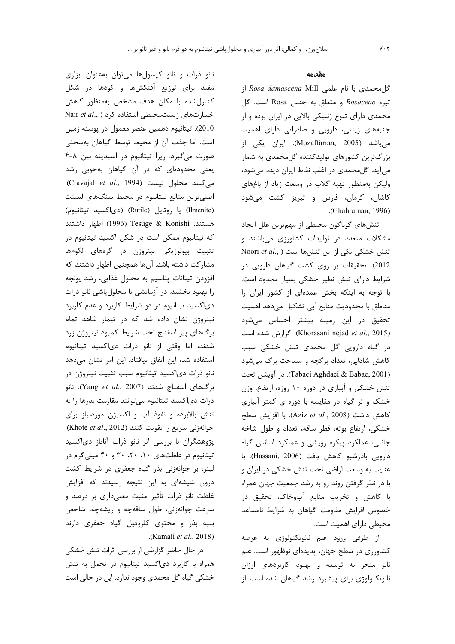#### مقدمه

گل محمدی با نام علمی Rosa damascena Mill از تيره Rosaceae و متعلق به جنس Rosa است. كل محمدی دارای تنوع ژنتیکی بالایی در ایران بوده و از جنبههای زینتی، دارویی و صادراتی دارای اهمیت میباشد (Mozaffarian, 2005). ایران یکی از بزرگترین کشورهای تولیدکننده گلمحمدی به شمار می]ًید. گلمحمدی در اغلب نقاط ایران دیده میشود، ولیکن بهمنظور تهیه گلاب در وسعت زیاد از باغهای كاشان، كرمان، فارس و تبريز كشت مى شود .(Ghahraman, 1996)

تنشهای گوناگون محیطی از مهمترین علل ایجاد مشکلات متعدد در تولیدات کشاورزی میباشند و Timori et al., ) تنش ها است ( Noori et al., 2012). تحقیقات بر روی کشت گیاهان دارویی در شرایط دارای تنش نظیر خشکی بسیار محدود است. با توجه به اینکه بخش عمدهای از کشور ایران را مناطق با محدودیت منابع آبی تشکیل می دهد اهمیت تحقیق در این زمینه بیشتر احساس میشود (Khorasani nejad et al., 2015). گزارش شده است در گیاه دارویی گل محمدی تنش خشکی سبب کاهش شادابی، تعداد برگچه و مساحت برگ میشود (Tabaei Aghdaei & Babae, 2001). در آويشن تحت تنش خشکی و آبیاری در دوره ۱۰ روزه، ارتفاع، وزن خشک و تر گیاه در مقایسه با دوره ی کمتر آبیاری كاهش داشت (Aziz et al., 2008). با افزايش سطح خشکی، ارتفاع بوته، قطر ساقه، تعداد و طول شاخه جانبی، عملکرد پیکره رویشی و عملکرد اسانس گیاه دارویی بادرشبو کاهش یافت (Hassani, 2006). با عنایت به وسعت اراضی تحت تنش خشکی در ایران و با در نظر گرفتن روند رو به رشد جمعیت جهان همراه با کاهش و تخریب منابع آبوخاک، تحقیق در خصوص افزایش مقاومت گیاهان به شرایط نامساعد محیطی دارای اهمیت است.

از طرفی ورود علم نانوتکنولوژی به عرصه کشاورزی در سطح جهان، پدیدهای نوظهور است. علم نانو منجر به توسعه و بهبود كاربردهاى ارزان نانوتکنولوژی برای پیشبرد رشد گیاهان شده است. از

نانو ذرات و نانو کیسولها می توان بهعنوان ابزاری مفید برای توزیع آفتکشها و کودها در شکل كنترل شده با مكان هدف مشخص بهمنظور كاهش Nair et al., ) خسارتهای زیستمحیطی استفاده کرد 2010). تيتانيوم دهمين عنصر معمول در پوسته زمين است. اما جذب آن از محيط توسط گياهان بهسختى صورت می گیرد. زیرا تیتانیوم در اسیدیته بین ۸-۴ یعنی محدودهای که در آن گیاهان بهخوبی رشد می کنند محلول نیست (Cravajal et al., 1994). اصلی ترین منابع تیتانیوم در محیط سنگهای لمینت (Ilmenite) يا روتايل (Rutile) (دىاكسيد تيتانيوم) هستند. Tesuge & Konishi (1996) اظهار داشتند که تیتانیوم ممکن است در شکل اکسید تیتانیوم در تثبیت بیولوژیکی نیتروژن در گرههای لگومها مشاركت داشته باشد. آنها همچنین اظهار داشتند كه افزودن تيتانات پتاسيم به محلول غذايي، رشد يونجه را بهبود بخشید. در آزمایشی با محلول پاشی نانو ذرات دی|کسید تیتانیوم در دو شرایط کاربرد و عدم کاربرد نیتروژن نشان داده شد که در تیمار شاهد تمام برگهای پیر اسفناج تحت شرایط کمبود نیتروژن زرد شدند، اما وقتی از نانو ذرات دی اکسید تیتانیوم استفاده شد، این اتفاق نیافتاد. این امر نشان میدهد نانو ذرات دی|کسید تیتانیوم سبب تثبیت نیتروژن در برگهای اسفناج شدند (Yang et al., 2007). نانو ذرات دی اکسید تیتانیوم می توانند مقاومت بذرها را به تنش بالابرده و نفوذ آب و اکسیژن موردنیاز برای جوانهزنی سریع را تقویت کنند (Khote et al., 2012). پژوهشگران با بررسی اثر نانو ذرات آناتاز دیاکسید تیتانیوم در غلظتهای ۰۱، ۲۰، ۳۰ و ۴۰ میلی گرم در لیتر، بر جوانهزنی بذر گیاه جعفری در شرایط کشت درون شیشهای به این نتیجه رسیدند که افزایش غلظت نانو ذرات تأثیر مثبت معنیداری بر درصد و سرعت جوانهزنی، طول ساقهچه و ریشهچه، شاخص بنیه بذر و محتوی کلروفیل گیاه جعفری دارند .(Kamali et al., 2018)

در حال حاضر گزارشی از بررسی اثرات تنش خشکی همراه با کاربرد دیاکسید تیتانیوم در تحمل به تنش خشکی گیاه گل محمدی وجود ندارد. این در حالی است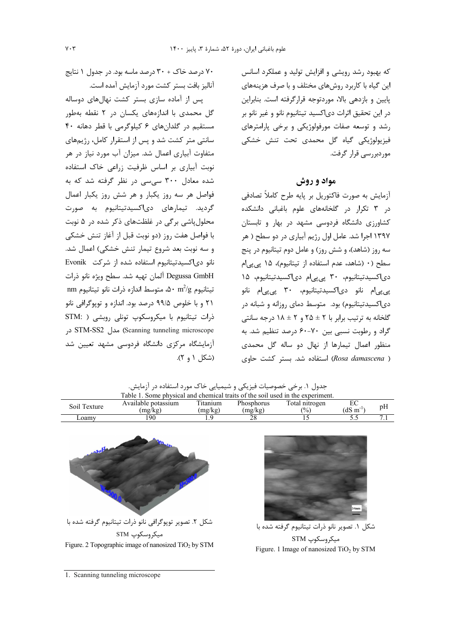که بهبود رشد رویشی و افزایش تولید و عملکرد اسانس این گیاه با کاربرد روشهای مختلف و با صرف هزینههای یایین و بازدهی بالا، موردتوجه قرارگرفته است. بنابراین در این تحقیق اثرات دی|کسید تیتانیوم نانو و غیر نانو بر رشد و توسعه صفات مورفولوژیکی و برخی پارامترهای فيزيولوژيكى گياه گل محمدى تحت تنش خشكى موردبررسے قرار گرفت.

# مواد و روش

آزمایش به صورت فاکتوریل بر پایه طرح کاملاً تصادفی در ۳ تکرار در گلخانههای علوم باغبانی دانشکده کشاورزی دانشگاه فردوسی مشهد در بهار و تابستان ۱۳۹۷ اجرا شد. عامل اول رژیم آبیاری در دو سطح ( هر سه روز (شاهد)، و شش روز) و عامل دوم تیتانیوم در پنج سطح (٠ (شاهد، عدم استفاده از تيتانيوم)، ١۵ يي يي ام دی اکسیدتیتانیوم، ۳۰ پی پی ام دی اکسیدتیتانیوم، ۱۵ پی پی ام نانو دی اکسیدتیتانیوم، ۳۰ پی پی ام نانو دی|کسیدتیتانیوم) بود. متوسط دمای روزانه و شبانه در گلخانه به ترتیب برابر با ۲ ± ۲۵ و ۲ ± ۱۸ درجه سانتی گراد و رطوبت نسبی بین ۷۰-۶۰ درصد تنظیم شد. به منظور اعمال تیمارها از نهال دو ساله گل محمدی ( Rosa damascena) استفاده شد. بستر كشت حاوى

۷۰ درصد خاک + ۳۰ درصد ماسه بود. در جدول ۱ نتایج آناليز بافت بستر كشت مورد آزمايش آمده است.

یس از آماده سازی بستر کشت نهالهای دوساله گل محمدی با اندازههای یکسان در ۲ نقطه بهطور مستقیم در گلدانهای ۶ کیلوگرمی با قطر دهانه ۴۰ سانتی متر کشت شد و پس از استقرار کامل، رژیمهای متفاوت آبیاری اعمال شد. میزان آب مورد نیاز در هر نوبت آبیاری بر اساس ظرفیت زراعی خاک استفاده .<br>شده معادل ۳۰۰ سے سے د<sub>ر</sub> نظر گرفته شد که به فواصل هر سه روز یکبار و هر شش روز یکبار اعمال گردید. تیمارهای دی|کسیدتیتانیوم به صورت محلول یاشی بر گی در غلظتهای ذکر شده در ۵ نوبت با فواصل هفت روز (دو نوبت قبل از آغاز تنش خشكي و سه نوبت بعد شروع تيمار تنش خشكي) اعمال شد. نانو دی اکسیدتیتانیوم استفاده شده از شرکت Evonik Degussa GmbH آلمان تهيه شد. سطح ويژه نانو ذرات nm تيتانيوم  $\ln^2$  ۰ $\ln^2$ ، متوسط اندازه ذرات نانو تيتانيوم ۲۱ و با خلوص ۹۹/۵ درصد بود. اندازه و توپوگرافی نانو ذرات تیتانیوم با میکروسکوپ تونلی روبشی ( STM: SCanning tunneling microscope) مدل STM-SS2 در آزمایشگاه مرکزی دانشگاه فردوسی مشهد تعیین شد (شكل ۱ و ۲).

Table 1. Some physical and chemical traits of the soil used in the experiment Total nitrogen Available potassium Titanium Phosphorus  $EC$ Soil Texture pH  $(dS m^{-1})$  $(mg/kg)$  $(mg/kg)$  $(mg/kg)$  $(%)$ Loamy 190  $1\,9$  $\overline{28}$  $\overline{15}$  $55$  $7.1$ شکل ۲. تصویر توپوگرافی نانو ذرات تیتانیوم گرفته شده با شكل ١. تصوير نانو ذرات تيتانيوم گرفته شده با مىكروسكوب STM میکروسکوپ STM

Figure. 1 Image of nanosized TiO<sub>2</sub> by STM

جدول ۱. برخی خصوصیات فیزیکی و شیمیایی خاک مورد استفاده در آزمایش.

Figure. 2 Topographic image of nanosized  $TiO<sub>2</sub>$  by STM

1. Scanning tunneling microscope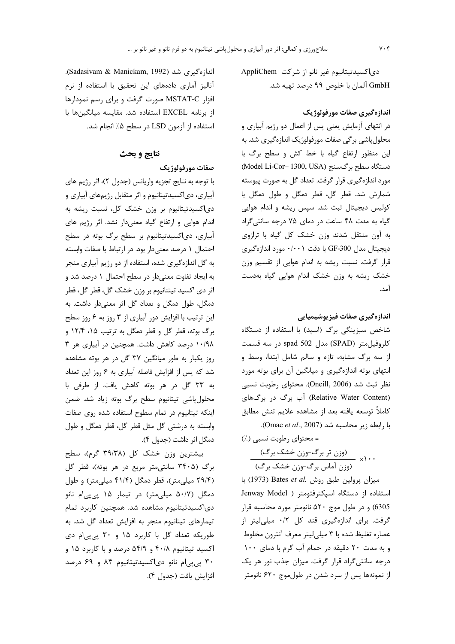دی|کسیدتیتانیوم غیر نانو از شرکت AppliChem GmbH آلمان با خلوص ۹۹ درصد تهيه شد.

### اندازهگیری صفات مورفولوژیک

در انتهای آزمایش یعنی پس از اعمال دو رژیم آبیاری و محلول پاشی بر گی صفات مورفولوژیک اندازه گیری شد. به این منظور ارتفاع گیاه با خط کش و سطح برگ با دستگاه سطح برگسنج (Model Li-Cor- 1300, USA) مورد اندازهگیری قرار گرفت. تعداد گل به صورت پیوسته شمارش شد. قطر گل، قطر دمگل و طول دمگل با کولیس دیجیتال ثبت شد. سپس ریشه و اندام هوایی گیاه به مدت ۴۸ ساعت در دمای ۷۵ درجه سانتیگراد به آون منتقل شدند وزن خشک کل گیاه با ترازوی ديجيتال مدل GF-300 با دقت ۰/۰۰۱ مورد اندازهگيري قرار گرفت. نسبت ریشه به اندام هوایی از تقسیم وزن خشک ریشه به وزن خشک اندام هوایی گیاه بهدست آمد.

اندازهگیری صفات فیزیوشیمیایی شاخص سبزینگی برگ (اسپد) با استفاده از دستگاه كلروفيلمتر (SPAD) مدل 502 spad در سه قسمت از سه برگ مشابه، تازه و سالم شامل ابتدا، وسط و انتهای بوته اندازهگیری و میانگین آن برای بوته مورد نظر ثبت شد (Oneill, 2006). محتواي رطوبت نسبي (Relative Water Content) آب برگ در برگهای كاملاً توسعه يافته بعد از مشاهده علايم تنش مطابق با رابطه زير محاسبه شد (Omae et al., 2007).

= محتوای رطوبت نسبی (./) (وزن تر برگ-وزن خشک برگ)<br>۱۰۰ (وزن آماس برگ-وزن خشک برگ)

میزان پرولین طبق روش .Bates *et al* (1973) با استفاده از دستگاه اسپکترفتومتر ( Jenway Model 6305) و در طول موج ۵۲۰ نانومتر مورد محاسبه قرار گرفت. برای اندازهگیری قند کل ۰/۲ میلی لیتر از عصاره تغليظ شده با ٣ ميلي ليتر معرف آنترون مخلوط و به مدت ٢٠ دقيقه در حمام آب گرم با دماي ١٠٠ درجه سانتیگراد قرار گرفت. میزان جذب نور هر یک از نمونهها پس از سرد شدن در طول موج ۶۲۰ نانومتر

اندازەگىرى شد (Sadasivam & Manickam, 1992). آنالیز آماری دادههای این تحقیق با استفاده از نرم افزار MSTAT-C صورت گرفت و برای رسم نمودارها از برنامه EXCEL استفاده شد. مقايسه ميانگينها با استفاده از آزمون LSD در سطح ۵٪ انجام شد.

# نتايج و بحث

# صفات مورفولوژيک

با توجه به نتايج تجزيه واريانس (جدول ٢)، اثر رژيم هاي آبیاری، دیاکسیدتیتانیوم و اثر متقابل رژیمهای آبیاری و دی|کسیدتیتانیوم بر وزن خشک کل، نسبت ریشه به اندام هوایی و ارتفاع گیاه معنیدار نشد. اثر رژیم های آبیاری، دیاکسیدتیتانیوم بر سطح برگ بوته در سطح احتمال ١ درصد معنىدار بود. در ارتباط با صفات وابسته به گل اندازهگیری شده، استفاده از دو رژیم آبیاری منجر به ایجاد تفاوت معنیدار در سطح احتمال ۱ درصد شد و اثر دي اكسيد تيتنانيوم بر وزن خشک گل، قطر گل، قطر دمگل، طول دمگل و تعداد گل اثر معنیدار داشت. به این ترتیب با افزایش دور آبیاری از ۳ روز به ۶ روز سطح برگ بوته، قطر گل و قطر دمگل به ترتیب ۱۵، ۱۲/۴ و ۱۰/۹۸ درصد کاهش داشت. همچنین در آبیاری هر ۳ روز یکبار به طور میانگین ۳۷ گل در هر بوته مشاهده شد که پس از افزایش فاصله آبیاری به ۶ روز این تعداد به ٣٣ گل در هر بوته كاهش يافت. از طرفى با محلول پاشی تیتانیوم سطح برگ بوته زیاد شد. ضمن اینکه تیتانیوم در تمام سطوح استفاده شده روی صفات وابسته به درشتی گل مثل قطر گل، قطر دمگل و طول دمگل اثر داشت (جدول ۴).

بیشترین وزن خشک کل (۳۹/۳۸ گرم)، سطح برگ (۳۴۰۵ سانتی متر مربع در هر بوته)، قطر گل (۲۹/۴ میلی متر)، قطر دمگل (۴۱/۴ میلی متر) و طول دمگل (۵۰/۷ میلی متر) در تیمار ۱۵ پی پی ام نانو دی|کسیدتیتانیوم مشاهده شد. همچنین کاربرد تمام تیمارهای تیتانیوم منجر به افزایش تعداد گل شد. به طوریکه تعداد گل با کاربرد ۱۵ و ۳۰ پی پی ام دی اکسید تیتانیوم ۴۰/۸ و ۵۴/۹ درصد و با کاربرد ۱۵ و ۳۰ یی یی ام نانو دی اکسیدتیتانیوم ۸۴ و ۶۹ درصد افزايش يافت (جدول ۴).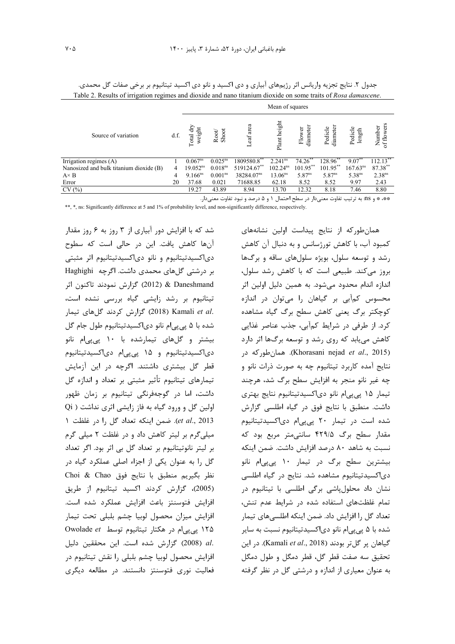|                                         |      | Mean of squares        |                     |                                      |                      |                    |                    |                      |                      |
|-----------------------------------------|------|------------------------|---------------------|--------------------------------------|----------------------|--------------------|--------------------|----------------------|----------------------|
| Source of variation                     | d.f. | dry<br>weight<br>Total | Shoot<br>Root       | eaf area<br>$\overline{\phantom{0}}$ | Plant height         | diameter<br>Flower | diamete<br>Pedicle | Pedicle<br>length    | Number<br>of flowers |
| Irrigation regimes (A)                  |      | $0.067^{ns}$           | $0.025^{ns}$        | 1809580.8                            | 2.241 <sup>ns</sup>  | 74.26              | 128.96             | 9.07                 | $112.13$ **          |
| Nanosized and bulk titanium dioxide (B) | 4    | 19.052 <sup>ns</sup>   | 0.018 <sup>ns</sup> | 519124.67**                          | 102.24 <sup>ns</sup> | $101.95***$        | $101.95$ **        | 167.63 <sup>ns</sup> | 87.38**              |
| $A \times B$                            | 4    | $9.166^{ns}$           | 0.001 <sup>ns</sup> | 38284.07 <sup>ns</sup>               | $13.06^{ns}$         | $5.87^{ns}$        | $5.87^{ns}$        | 5.38 <sup>ns</sup>   | 2.38 <sup>ns</sup>   |
| Error                                   | 20   | 37.68                  | 0.021               | 71688.85                             | 62.18                | 8.52               | 8.52               | 9.97                 | 2.43                 |
| CV(%)                                   |      | 19.27                  | 43.89               | 8.94                                 | 13.70                | 12.32              | 8.18               | 7.46                 | 8.80                 |

جدول ۲. نتایج تجزیه واریانس اثر رژیمهای آبیاری و دی اکسید و نانو دی اکسید تیتانیوم بر برخی صفات گل محمدی. Table 2. Results of irrigation regimes and dioxide and nano titanium dioxide on some traits of Rosa damascene.

\*\*، \* و 11s: به ترتيب تفاوت معنىدار در سطح احتمال ١ و ۵ درصد و نبود تفاوت معنىدار.

\*\*, \*, ns: Significantly difference at 5 and 1% of probability level, and non-significantly difference, respectively.

شد که با افزایش دور آبیاری از ۳ روز به ۶ روز مقدار آنها کاهش یافت. این در حالی است که سطوح دی|کسیدتیتانیوم و نانو دی|کسیدتیتانیوم اثر مثبتی بر درشتی گلهای محمدی داشت. اگرچه Haghighi Daneshmand & (2012) گزارش نمودند تاکنون اثر تیتانیوم بر رشد زایشی گیاه بررسی نشده است، .Z018) Kamali et al (2018) گزارش کردند گلهای تیمار شده با ۵ پیپیام نانو دیاکسیدتیتانیوم طول جام گل بیشتر و گلهای تیمارشده با ۱۰ پی پی ام نانو دی|کسیدتیتانیوم و ۱۵ پی پی|م دی|کسیدتیتانیوم قطر گل بیشتری داشتند. اگرچه در این آزمایش تیمارهای تیتانیوم تأثیر مثبتی بر تعداد و اندازه گل داشت، اما در گوجهفرنگی تیتانیوم بر زمان ظهور اولین گل و ورود گیاه به فاز زایشی اثری نداشت ( Qi et al., 2013). ضمن اينكه تعداد گل را در غلظت ١ میلی گرم بر لیتر کاهش داد و در غلظت ۲ میلی گرم بر لیتر نانوتیتانیوم بر تعداد گل بی اثر بود. اگر تعداد گل را به عنوان یکی از اجزاء اصلی عملکرد گیاه در نظر بكيريم منطبق با نتايج فوق Choi & Chao (2005)، گزارش كردند اكسيد تيتانيوم از طريق افزايش فتوسنتز باعث افزايش عملكرد شده است. افزایش میزان محصول لوبیا چشم بلبلی تحت تیمار ۱۲۵ یی پی ام در هکتار تیتانیوم توسط Owolade et .al (2008) گزارش شده است. این محققین دلیل افزایش محصول لوبیا چشم بلبلی را نقش تیتانیوم در فعالیت نوری فتوسنتز دانستند. در مطالعه دیگری

همان طور که از نتایج پیداست اولین نشانههای كمبود آب، با كاهش تورژسانس و به دنبال آن كاهش رشد و توسعه سلول، بویژه سلولهای ساقه و برگها بروز میکند. طبیعی است که با کاهش رشد سلول، اندازه اندام محدود می شود. به همین دلیل اولین اثر محسوس کمآبی بر گیاهان را میتوان در اندازه کوچکتر برگ یعنی کاهش سطح برگ گیاه مشاهده کرد. از طرفی در شرایط کمآبی، جذب عناصر غذایی کاهش می یابد که روی رشد و توسعه برگها اثر دارد (Khorasani nejad et al., 2015). همان طور كه در نتايج آمده كاربرد تيتانيوم چه به صورت ذرات نانو و چه غیر نانو منجر به افزایش سطح برگ شد، هرچند تیمار ۱۵ یی پی|م نانو دی|کسیدتیتانیوم نتایج بهتری داشت. منطبق با نتايج فوق در گياه اطلسي گزارش شده است در تیمار ٢٠ پیپیام دی اکسیدتیتانیوم مقدار سطح برگ ۴۲۹/۵ سانتی متر مربع بود که نسبت به شاهد ۸۰ درصد افزایش داشت. ضمن اینکه بیشترین سطح برگ در تیمار ۱۰ پیپیام نانو دی اکسیدتیتانیوم مشاهده شد. نتایج در گیاه اطلسی نشان داد محلولپاشی برگی اطلسی با تیتانیوم در تمام غلظتهای استفاده شده در شرایط عدم تنش، تعداد گل ,ا افزایش داد. ضمن اینکه اطلسی های تیما, شده با ۵ پی یی ام نانو دی اکسیدتیتانیوم نسبت به سایر گیاهان پر گلتر بودند (Kamali et al., 2018). در این تحقيق سه صفت قطر گل، قطر دمگل و طول دمگل به عنوان معیاری از اندازه و درشتی گل در نظر گرفته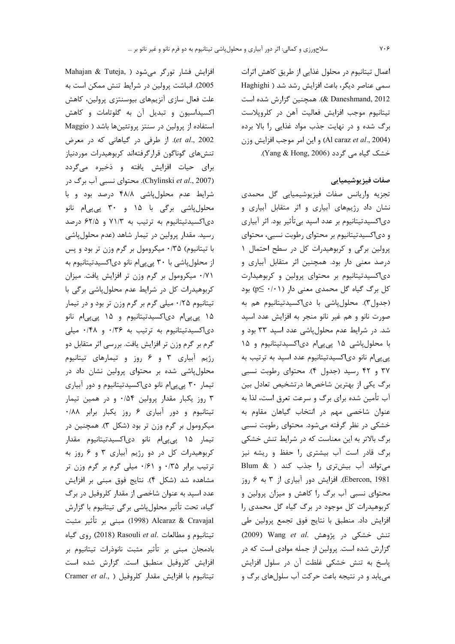2005). انباشت پرولین در شرایط تنش ممکن است به علت فعال سازى آنزيمهاى بيوسنتزى پرولين، كاهش اکسیداسیون و تبدیل آن به گلوتامات و کاهش استفاده از پرولین در سنتز پروتئینها باشد ( Maggio et al., 2002). از طرفی در گیاهانی که در معرض تنشهای گوناگون قرارگرفتهاند کربوهیدرات موردنیاز برای حیات افزایش یافته و ذخیره میگردد (Chylinski et al., 2007). محتوای نسبی آب برگ در شرایط عدم محلولپاشی ۴۸/۸ درصد بود و با محلول پاشی برگی با ۱۵ و ۳۰ پی پیام نانو دی|کسیدتیتانیوم به ترتیب به ۷۱/۳ و ۶۲/۵ درصد رسید. مقدار پرولین در تیمار شاهد (عدم محلولپاشی با تیتانیوم) ۰/۳۵ میکرومول بر گرم وزن تر بود و پس از محلول پاشی با ۳۰ پی پی|م نانو دی|کسیدتیتانیوم به ٠/٧١ ميكرومول بر كرم وزن تر افزايش يافت. ميزان کربوهیدرات کل در شرایط عدم محلول پاشی برگی با تیتانیوم ۰/۲۵ میلی گرم بر گرم وزن تر بود و در تیمار ۱۵ پیپیام دیاکسیدتیتانیوم و ۱۵ پیپیام نانو دی|کسیدتیتانیوم به ترتیب به ۰/۳۶ و ۰/۴۸ میلی گرم بر گرم وزن تر افزایش یافت. بررسی اثر متقابل دو رژیم آبیاری ۳ و ۶ روز و تیمارهای تیتانیوم محلولپاشی شده بر محتوای پرولین نشان داد در تیمار ۳۰ پی پی ام نانو دی اکسیدتیتانیوم و دور آبیاری ۳ روز یکبار مقدار پرولین ۰/۵۴ و در همین تیمار تیتانیوم و دور آبیاری ۶ روز یکبار برابر ۰/۸۸ میکرومول بر گرم وزن تر بود (شکل ۳). همچنین در تیمار ۱۵ پیپیام نانو دیاکسیدتیتانیوم مقدار کربوهیدرات کل در دو رژیم آبیاری ۳ و ۶ روز به ترتیب برابر ۰/۳۵ و ۰/۶۱ میلی گرم بر گرم وزن تر مشاهده شد (شکل ۴). نتایج فوق مبنی بر افزایش عدد اسپد به عنوان شاخصی از مقدار کلروفیل در برگ گیاه، تحت تأثیر محلول پاشی برگی تیتانیوم با گزارش Alcaraz & Cravajal (1998) مبنی بر تأثیر مثبت تيتانيوم و مطالعات .Rasouli et al (2018) روى گياه بادمجان مبنی بر تأثیر مثبت نانوذرات تیتانیوم بر افزایش کلروفیل منطبق است. گزارش شده است Cramer et al., ) تيتانيوم با افزايش مقدار كلروفيل

Mahajan & Tuteja, ) افزایش فشار تورگر می شود

اعمال تیتانیوم در محلول غذایی از طریق کاهش اثرات سمی عناصر دیگر، باعث افزایش رشد شد ( Haghighi 2012 .E Daneshmand, 2012). همچنین گزارش شده است تيتانيوم موجب افزايش فعاليت آهن در كلروپلاست برگ شده و در نهایت جذب مواد غذایی را بالا برده (Al caraz et al., 2004) و اين امر موجب افزايش وزن خشک گیاه می گردد (Yang & Hong, 2006).

### صفات فيزيوشيميايي

تجزيه واريانس صفات فيزيوشيميايي گل محمدي نشان داد رژیمهای آبیاری و اثر متقابل آبیاری و دي|کسيدتيتانيوم بر عدد اسيد بيتأثير بود. اثر آبياري و دیاکسیدتیتانیوم بر محتوای رطوبت نسبی، محتوای پرولین برگی و کربوهیدرات کل در سطح احتمال ١ درصد معنی دار بود. همچنین اثر متقابل آبیاری و دی اکسیدتیتانیوم بر محتوای پرولین و کربوهیدارت کل برگ گیاه گل محمدی معنی دار (p≤ ٠/٠١) بود (جدول٣). محلول پاشي با دياكسيدتيتانيوم هم به صورت نانو و هم غیر نانو منجر به افزایش عدد اسپد شد. در شرایط عدم محلولپاشی عدد اسپد ۳۳ بود و با محلول پاشی ۱۵ پی پی ام دی اکسیدتیتانیوم و ۱۵ پی پی ام نانو دی اکسیدتیتانیوم عدد اسپد به ترتیب به ۳۷ و ۴۲ رسید (جدول ۴). محتوای رطوبت نسبی برگ یکی از بهترین شاخصها درتشخیص تعادل بین آب تأمین شده برای برگ و سرعت تعرق است، لذا به عنوان شاخصی مهم در انتخاب گیاهان مقاوم به خشکی در نظر گرفته میشود. محتوای رطوبت نسبی برگ بالاتر به این معناست که در شرایط تنش خشکی برگ قادر است آب بیشتری را حفظ و ریشه نیز میتواند آب بیشتری را جذب کند ( & Blum Ebercon, 1981). افزایش دور آبیاری از ۳ به ۶ روز محتوای نسبی آب برگ را کاهش و میزان پرولین و کربوهیدرات کل موجود در برگ گیاه گل محمدی را افزايش داد. منطبق با نتايج فوق تجمع پرولين طي تنش خشکی در پژوهش .Wang et al (2009) گزارش شده است. پرولین از جمله موادی است که در پاسخ به تنش خشکی غلظت آن در سلول افزایش می یابد و در نتیجه باعث حرکت آب سلولهای برگ و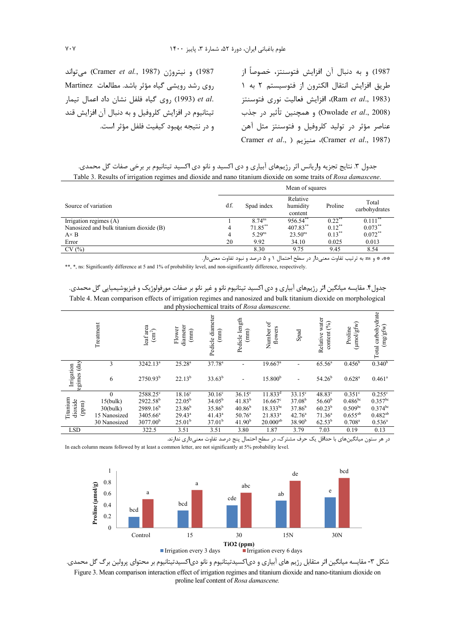1987) و نيتروژن (Cramer et al., 1987) مي تواند روى رشد رويشى گياه مؤثر باشد. مطالعات Martinez et al. (1993) روى گياه فلفل نشان داد اعمال تيمار تیتانیوم در افزایش کلروفیل و به دنبال آن افزایش قند و در نتيجه بهبود كيفيت فلفل مؤثر است. 1987) و به دنبال آن افزایش فتوسنتز، خصوصاً از طريق افزايش انتقال الكترون از فتوسيستم ٢ به ١ (Ram et al., 1983)، افزايش فعاليت نوري فتوسنتز (Owolade *et al.*, 2008) و همچنین تأثیر در جذب عناصر مؤثر در توليد كلروفيل و فتوسنتز مثل آهن Cramer et al., ) منيزيم (Cramer et al., 1987)

جدول ٣. نتايج تجزيه واريانس اثر رژيمهاى آبيارى و دى اكسيد و نانو دى اكسيد تيتانيوم بر برخى صفات گل محمدى. Table 3. Results of irrigation regimes and dioxide and nano titanium dioxide on some traits of Rosa damascene.

|                                         | Mean of squares |                    |                                 |           |                        |  |  |
|-----------------------------------------|-----------------|--------------------|---------------------------------|-----------|------------------------|--|--|
| Source of variation                     | d.f.            | Spad index         | Relative<br>humidity<br>content | Proline   | Total<br>carbohydrates |  |  |
| Irrigation regimes (A)                  |                 | 8.74 <sup>ns</sup> | 956.54                          | $0.22$ ** | 0.111                  |  |  |
| Nanosized and bulk titanium dioxide (B) | 4               | $71.85***$         | 407.83**                        | $0.12***$ | $0.073***$             |  |  |
| $A \times B$                            | 4               | $5.29^{ns}$        | 23.50 <sup>ns</sup>             | $0.13***$ | $0.072***$             |  |  |
| Error                                   | 20              | 9.92               | 34.10                           | 0.025     | 0.013                  |  |  |
| CV(%)                                   |                 | 8.30               | 9.75                            | 9.45      | 8.54                   |  |  |

\*\*، \* و as: به ترتیب تفاوت معنیدار در سطح احتمال ۱ و ۵ درصد و نبود تفاوت معنیدار. \*\*, \*, ns: Significantly difference at 5 and 1% of probability level, and non-significantly difference, respectively.

جدول۴. مقایسه میانگین اثر رژیمهای آبیاری و دی اکسید تیتانیوم نانو و غیر نانو بر صفات مورفولوژیک و فیزیوشیمیایی گل محمدی. Table 4. Mean comparison effects of irrigation regimes and nanosized and bulk titanium dioxide on morphological and physiochemical traits of Rosa damascene.

|                                                   | Treatment    | leaf area<br>$\rm \left( cm^2 \right)$ | diameter<br>Flower<br>(mm) | Pedicle diameter<br>$\binom{mm}{mm}$ | Pedicle length<br>$(\text{mm})$ | ð<br>flowers<br>Number | Spad               | water<br>content (%)<br>Relative | (µmol/gfw)<br>Proline | carbohydrate<br>(mg/gfw)<br>Total |
|---------------------------------------------------|--------------|----------------------------------------|----------------------------|--------------------------------------|---------------------------------|------------------------|--------------------|----------------------------------|-----------------------|-----------------------------------|
| $\frac{day}{y}$<br>Irrigation<br>egimes           | 3            | $3242.13^a$                            | $25.28^{a}$                | 37.78 <sup>a</sup>                   |                                 | $19.667$ <sup>a</sup>  |                    | 65.56 <sup>a</sup>               | $0.456^{\rm b}$       | 0.340 <sup>b</sup>                |
|                                                   | 6            | $2750.93^{b}$                          | $22.13^{b}$                | $33.63^{b}$                          |                                 | 15.800 <sup>b</sup>    | ٠                  | $54.26^{b}$                      | $0.628$ <sup>a</sup>  | $0.461$ <sup>a</sup>              |
| Titanium<br>dioxide<br>$\left( \text{ppm}\right)$ | $\Omega$     | 2588.25°                               | $18.16^{\circ}$            | $30.16^{\circ}$                      | $36.15^{\circ}$                 | $11.833^{d}$           | $33.15^{\circ}$    | $48.83^\circ$                    | $0.351$ °             | $0.255^{\circ}$                   |
|                                                   | 15(bulk)     | 2922.58 <sup>b</sup>                   | $22.05^{\rm b}$            | $34.05^{\rm b}$                      | $41.83^{b}$                     | $16.667$ <sup>c</sup>  | 37.08 <sup>b</sup> | 56.60 <sup>b</sup>               | $0.486^{bc}$          | $0.357^{bc}$                      |
|                                                   | 30(bulk)     | 2989.16 <sup>b</sup>                   | $23.86^{b}$                | $35.86^{b}$                          | $40.86^{b}$                     | $18.333^{bc}$          | $37.86^{b}$        | $60.23^{b}$                      | $0.509^{bc}$          | $0.374^{bc}$                      |
|                                                   | 15 Nanosized | 3405.66 <sup>a</sup>                   | $29.43^a$                  | $41.43^a$                            | $50.76^{\circ}$                 | $21.833^{a}$           | 42.76 <sup>a</sup> | 71.36 <sup>a</sup>               | $0.655^{ab}$          | $0.482^{ab}$                      |
|                                                   | 30 Nanosized | 3077.00 <sup>b</sup>                   | 25.01 <sup>b</sup>         | 37.01 <sup>b</sup>                   | 41.90 <sup>b</sup>              | $20.000^{ab}$          | $38.90^{b}$        | $62.53^{b}$                      | $0.708^{\rm a}$       | $0.536^{\circ}$                   |
| <b>LSD</b>                                        |              | 322.5                                  | 3.51                       | 3.51                                 | 3.80                            | 1.87                   | 3.79               | 7.03                             | 0.19                  | 0.13                              |

در هر ستون میانگینهای با حداقل یک حرف مشترک، در سطح احتمال پنج درصد تفاوت معنیداری ندارند. In each column means followed by at least a common letter, are not significantly at 5% probability level.



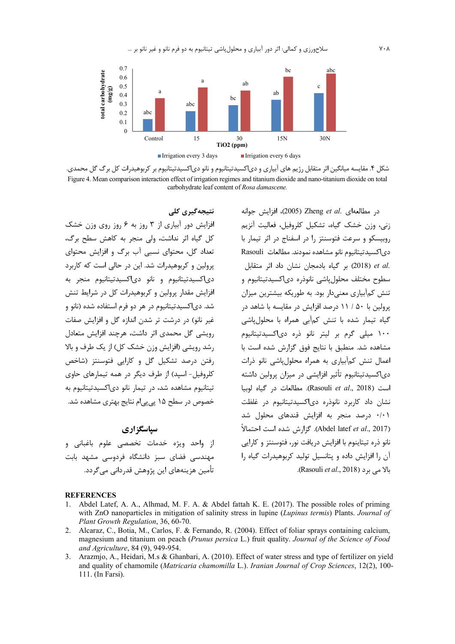

شکل ۴. مقایسه میانگین اثر متقابل رژیم های آبیاری و دی|کسیدتیتانیوم و نانو دی|کسیدتیتانیوم بر کربوهیدرات کل برگ گل محمدی. Figure 4. Mean comparison interaction effect of irrigation regimes and titanium dioxide and nano-titanium dioxide on total carbohydrate leaf content of *Rosa damascene.*

نتیجه *گ*یری کلی افزایش دور آبیاری از ۳ روز به ۶ روز روی وزن خشک كل گياه اثر نداشت، ولي منجر به كاهش سطح برگ، تعداد گل، محتوای نسبی آب برگ و افزایش محتوای پرولین و کربوهیدرات شد. این در حالی است که کاربرد دى كسيدتيتانيوم و نانو دى اكسيدتيتانيوم منجر به فزایش مقدار پرولین و کربوهیدرات کل در شرایط تنش شد. دی|کسیدتیتانیوم در هر دو فرم استفاده شده (نانو و غیر نانو) در درشت تر شدن اندازه گل و افزایش صفات رويشي گل محمدي اثر داشت، هرچند افزايش متعادل رشد رويشي (افزايش وزن خشک کل) از يک طرف و بالا رفتن درصد تشكيل گل و كارايي فتوسنتز (شاخص كلروفيل- اسيد) از طرف ديگر در همه تيمارهاي حاوي تیتانیوم مشاهده شد، در تیمار نانو دیاکسیدتیتانیوم به خصوص در سطح ۱۵ پی پی|م نتایج بهتری مشاهده شد.

### **سپاسگزاری**

از واحد ویژه خدمات تخصصی علوم باغبانی و مهندسی فضای سبز دانشگاه فردوسی مشهد بابت تأمين هزينههاي اين پژوهش قدرداني ميگردد.

در مطالعهای .Zheng *et al* (2005)، افزایش جوانه زني، وزن خشک گياه، تشکيل کلروفيل، فعاليت آنزيم روبیسکو و سرعت فتوسنتز را در اسفناج در اثر تیمار با  $Rasouli$  دى كسيدتيتانيوم نانو مشاهده نمودند. مطالعات 4%L.+ "#\$ \$ CI- CU+% 85 "% (2018 ) *et al*. سطوح مختلف محلول پاشی نانوذره دی|کسیدتیتانیوم و تنش کمآبیاری معنیدار بود. به طوریکه بیشترین میزان پرولین با ۵۰ / ۱۱ درصد افزایش در مقایسه با شاهد در گیاه تیمار شده با تنش کمآبی همراه با محلولپاشی ۱۰۰ میلی گرم بر لیتر نانو ذره دی اکسیدتیتانیوم مشاهده شد. منطبق با نتايج فوق گزارش شده است با عمال تنش کمآبیاری به همراه محلول پاشی نانو ذرات دی|کسیدتیتانیوم تأثیر افزایشی در میزان پرولین داشته است ( Rasouli *et al.*, 2018). مطالعات در گیاه لوبیا نشان داد کاربرد نانوذره دیاکسیدتیتانیوم در غلظت ۰/۰۱ درصد منجر به افزایش قندهای محلول شد (Abdel latef *et al*., 2017). گزارش شده است احتمالاً نانو ذره تیتاینوم با افزایش دریافت نور، فتوسنتز و کارایی آن را افزایش داده و پتانسیل تولید کربوهیدرات گیاه را بالا مے، برد ( Rasouli *et al*., 2018).

#### **REFERENCES**

- 1. Abdel Latef, A. A., Alhmad, M. F. A. & Abdel fattah K. E. (2017). The possible roles of priming with ZnO nanoparticles in mitigation of salinity stress in lupine (*Lupinus termis*) Plants. *Journal of Plant Growth Regulation*, 36, 60-70.
- 2. Alcaraz, C., Botia, M., Carlos, F. & Fernando, R. (2004). Effect of foliar sprays containing calcium, magnesium and titanium on peach (*Prunus persica* L.) fruit quality. *Journal of the Science of Food and Agriculture*, 84 (9), 949-954.
- 3. Arazmjo, A., Heidari, M.s & Ghanbari, A. (2010). Effect of water stress and type of fertilizer on yield and quality of chamomile (*Matricaria chamomilla* L.). *Iranian Journal of Crop Sciences*, 12(2), 100- 111. (In Farsi).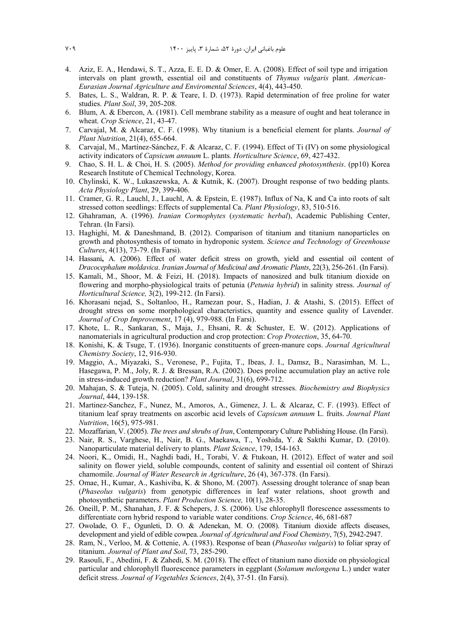- 4. Aziz, E. A., Hendawi, S. T., Azza, E. E. D. & Omer, E. A. (2008). Effect of soil type and irrigation intervals on plant growth, essential oil and constituents of *Thymus vulgaris* plant. *American-Eurasian Journal Agriculture and Enviromental Sciences*, 4(4), 443-450.
- 5. Bates, L. S., Waldran, R. P. & Teare, I. D. (1973). Rapid determination of free proline for water studies. *Plant Soil*, 39, 205-208.
- 6. Blum, A. & Ebercon, A. (1981). Cell membrane stability as a measure of ought and heat tolerance in wheat. *Crop Science*, 21, 43-47.
- 7. Carvajal, M. & Alcaraz, C. F. (1998). Why titanium is a beneficial element for plants. *Journal of Plant Nutrition*, 21(4), 655-664.
- 8. Carvajal, M., Martínez-Sánchez, F. & Alcaraz, C. F. (1994). Effect of Ti (IV) on some physiological activity indicators of *Capsicum annuum* L. plants*. Horticulture Science*, 69, 427-432.
- 9. Chao, S. H. L. & Choi, H. S. (2005). *Method for providing enhanced photosynthesis*. (pp10) Korea Research Institute of Chemical Technology, Korea.
- 10. Chylinski, K. W., Lukaszewska, A. & Kutnik, K. (2007). Drought response of two bedding plants. *Acta Physiology Plant*, 29, 399-406.
- 11. Cramer, G. R., Lauchl, J., Lauchl, A. & Epstein, E. (1987). Influx of Na, K and Ca into roots of salt stressed cotton seedlings: Effects of supplemental Ca. *Plant Physiology*, 83, 510-516.
- 12. Ghahraman, A. (1996). *Iranian Cormophytes* (*systematic herbal*), Academic Publishing Center, Tehran. (In Farsi).
- 13. Haghighi, M. & Daneshmand, B. (2012). Comparison of titanium and titanium nanoparticles on growth and photosynthesis of tomato in hydroponic system. *Science and Technology of Greenhouse Cultures*, 4(13), 73-79. (In Farsi).
- 14. Hassani**,** A. (2006). Effect of water deficit stress on growth, yield and essential oil content of *Dracocephalum moldavica*. *Iranian Journal of Medicinal and Aromatic Plants*, 22(3), 256-261. (In Farsi).
- 15. Kamali, M., Shoor, M. & Feizi, H. (2018). Impacts of nanosized and bulk titanium dioxide on flowering and morpho-physiological traits of petunia (*Petunia hybrid*) in salinity stress. *Journal of Horticultural Science,* 3(2), 199-212. (In Farsi).
- 16. Khorasani nejad, S., Soltanloo, H., Ramezan pour, S., Hadian, J. & Atashi, S. (2015). Effect of drought stress on some morphological characteristics, quantity and essence quality of Lavender. *Journal of Crop Improvement*, 17 (4), 979-988. (In Farsi).
- 17. Khote, L. R., Sankaran, S., Maja, J., Ehsani, R. & Schuster, E. W. (2012). Applications of nanomaterials in agricultural production and crop protection: *Crop Protection*, 35, 64-70.
- 18. Konishi, K. & Tsuge, T. (1936). Inorganic constituents of green-manure cops. *Journal Agricultural Chemistry Society*, 12, 916-930.
- 19. Maggio, A., Miyazaki, S., Veronese, P., Fujita, T., Ibeas, J. I., Damsz, B., Narasimhan, M. L., Hasegawa, P. M., Joly, R. J. & Bressan, R.A. (2002). Does proline accumulation play an active role in stress-induced growth reduction? *Plant Journal*, 31(6), 699-712.
- 20. Mahajan, S. & Tuteja, N. (2005). Cold, salinity and drought stresses. *Biochemistry and Biophysics Journal*, 444, 139-158.
- 21. Martinez-Sanchez, F., Nunez, M., Amoros, A., Gimenez, J. L. & Alcaraz, C. F. (1993). Effect of titanium leaf spray treatments on ascorbic acid levels of *Capsicum annuum* L. fruits. *Journal Plant Nutrition*, 16(5), 975-981.
- 22. Mozaffarian, V. (2005). *The trees and shrubs of Iran*, Contemporary Culture Publishing House. (In Farsi).
- 23. Nair, R. S., Varghese, H., Nair, B. G., Maekawa, T., Yoshida, Y. & Sakthi Kumar, D. (2010). Nanoparticulate material delivery to plants. *Plant Science*, 179, 154-163.
- 24. Noori, K., Omidi, H., Naghdi badi, H., Torabi, V. & Ftukoan, H. (2012). Effect of water and soil salinity on flower yield, soluble compounds, content of salinity and essential oil content of Shirazi chamomile. *Journal of Water Research in Agriculture*, 26 (4), 367-378. (In Farsi).
- 25. Omae, H., Kumar, A., Kashiviba, K. & Shono, M. (2007). Assessing drought tolerance of snap bean (*Phaseolus vulgaris*) from genotypic differences in leaf water relations, shoot growth and photosynthetic parameters. *Plant Production Science,* 10(1), 28-35.
- 26. Oneill, P. M., Shanahan, J. F. & Schepers, J. S. (2006). Use chlorophyll florescence assessments to differentiate corn hybrid respond to variable water conditions. *Crop Science*, 46, 681-687
- 27. Owolade, O. F., Ogunleti, D. O. & Adenekan, M. O. (2008). Titanium dioxide affects diseases, development and yield of edible cowpea. *Journal of Agricultural and Food Chemistry*, 7(5), 2942-2947.
- 28. Ram, N., Verloo, M. & Cottenie, A. (1983). Response of bean (*Phaseolus vulgaris*) to foliar spray of titanium. *Journal of Plant and Soil*, 73, 285-290.
- 29. Rasouli, F., Abedini, F. & Zahedi, S. M. (2018). The effect of titanium nano dioxide on physiological particular and chlorophyll fluorescence parameters in eggplant (*Solanum melongena* L.) under water deficit stress. *Journal of Vegetables Sciences*, 2(4), 37-51. (In Farsi).